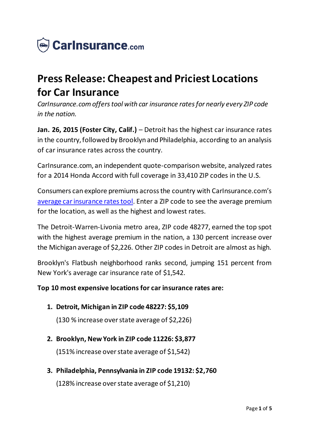

# **Press Release: Cheapest and Priciest Locations for Car Insurance**

*CarInsurance.com offers tool with car insurance rates for nearly every ZIP code in the nation.*

**Jan. 26, 2015 (Foster City, Calif.)** – Detroit has the highest car insurance rates in the country, followed by Brooklyn and Philadelphia, according to an analysis of car insurance rates across the country.

CarInsurance.com, an independent quote-comparison website, analyzed rates for a 2014 Honda Accord with full coverage in 33,410 ZIP codes in the U.S.

Consumers can explore premiums across the country with CarInsurance.com's [average car insurance rates tool.](https://www.carinsurance.com/calculators/average-car-insurance-rates.aspx) Enter a ZIP code to see the average premium for the location, as well as the highest and lowest rates.

The Detroit-Warren-Livonia metro area, ZIP code 48277, earned the top spot with the highest average premium in the nation, a 130 percent increase over the Michigan average of \$2,226. Other ZIP codes in Detroit are almost as high.

Brooklyn's Flatbush neighborhood ranks second, jumping 151 percent from New York's average car insurance rate of \$1,542.

### **Top 10 most expensive locations for car insurance rates are:**

**1. Detroit, Michigan in ZIP code 48227: \$5,109**

(130 % increase over state average of \$2,226)

**2. Brooklyn, New York in ZIP code 11226: \$3,877**

(151% increase over state average of \$1,542)

#### **3. Philadelphia, Pennsylvania in ZIP code 19132: \$2,760**

(128% increase over state average of \$1,210)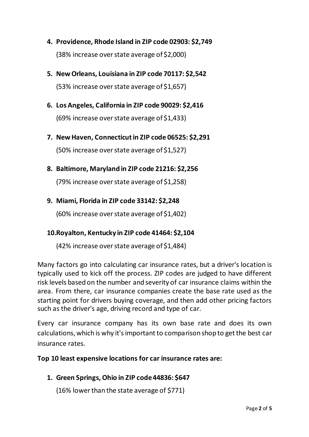- **4. Providence, Rhode Island in ZIP code 02903: \$2,749** (38% increase over state average of \$2,000)
- **5. New Orleans, Louisiana in ZIP code 70117: \$2,542**

(53% increase over state average of \$1,657)

- **6. Los Angeles, California in ZIP code 90029: \$2,416** (69% increase over state average of \$1,433)
- **7. New Haven, Connecticut in ZIP code 06525: \$2,291** (50% increase over state average of \$1,527)
- **8. Baltimore, Maryland in ZIP code 21216: \$2,256**

(79% increase over state average of \$1,258)

**9. Miami, Florida in ZIP code 33142: \$2,248**

(60% increase over state average of \$1,402)

### **10.Royalton, Kentucky in ZIP code 41464: \$2,104**

(42% increase over state average of \$1,484)

Many factors go into calculating car insurance rates, but a driver's location is typically used to kick off the process. ZIP codes are judged to have different risk levels based on the number and severity of car insurance claims within the area. From there, car insurance companies create the base rate used as the starting point for drivers buying coverage, and then add other pricing factors such as the driver's age, driving record and type of car.

Every car insurance company has its own base rate and does its own calculations, which is why it's important to comparison shop to get the best car insurance rates.

#### **Top 10 least expensive locations for car insurance rates are:**

**1. Green Springs, Ohio in ZIP code 44836: \$647**

(16% lower than the state average of \$771)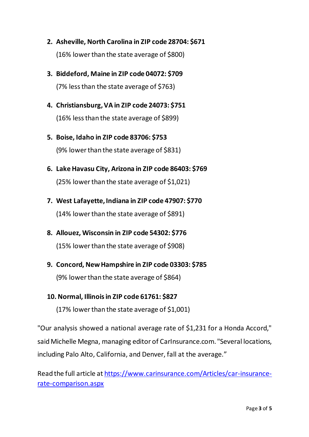- **2. Asheville, North Carolina in ZIP code 28704: \$671** (16% lower than the state average of \$800)
- **3. Biddeford, Maine in ZIP code 04072: \$709** (7% less than the state average of \$763)
- **4. Christiansburg, VA in ZIP code 24073: \$751** (16% less than the state average of \$899)
- **5. Boise, Idaho in ZIP code 83706: \$753** (9% lower than the state average of \$831)
- **6. Lake Havasu City, Arizona in ZIP code 86403: \$769** (25% lower than the state average of \$1,021)
- **7. West Lafayette, Indiana in ZIP code 47907: \$770** (14% lower than the state average of \$891)
- **8. Allouez, Wisconsin in ZIP code 54302: \$776**

(15% lower than the state average of \$908)

**9. Concord, New Hampshire in ZIP code 03303: \$785**

(9% lower than the state average of \$864)

### **10. Normal, Illinois in ZIP code 61761: \$827**

(17% lower than the state average of \$1,001)

"Our analysis showed a national average rate of \$1,231 for a Honda Accord," said Michelle Megna, managing editor of CarInsurance.com. "Several locations, including Palo Alto, California, and Denver, fall at the average."

Read the full article at [https://www.carinsurance.com/Articles/car-insurance](https://www.carinsurance.com/Articles/car-insurance-rate-comparison.aspx)[rate-comparison.aspx](https://www.carinsurance.com/Articles/car-insurance-rate-comparison.aspx)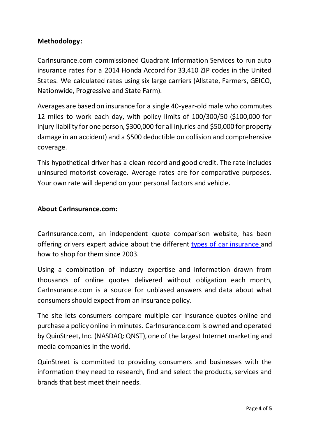### **Methodology:**

CarInsurance.com commissioned Quadrant Information Services to run auto insurance rates for a 2014 Honda Accord for 33,410 ZIP codes in the United States. We calculated rates using six large carriers (Allstate, Farmers, GEICO, Nationwide, Progressive and State Farm).

Averages are based on insurance for a single 40-year-old male who commutes 12 miles to work each day, with policy limits of 100/300/50 (\$100,000 for injury liability for one person, \$300,000 for all injuries and \$50,000 for property damage in an accident) and a \$500 deductible on collision and comprehensive coverage.

This hypothetical driver has a clean record and good credit. The rate includes uninsured motorist coverage. Average rates are for comparative purposes. Your own rate will depend on your personal factors and vehicle.

#### **About CarInsurance.com:**

CarInsurance.com, an independent quote comparison website, has been offering drivers expert advice about the different [types of car insurance](https://www.carinsurance.com/types-of-car-insurance/) and how to shop for them since 2003.

Using a combination of industry expertise and information drawn from thousands of online quotes delivered without obligation each month, CarInsurance.com is a source for unbiased answers and data about what consumers should expect from an insurance policy.

The site lets consumers compare multiple car insurance quotes online and purchase a policy online in minutes. CarInsurance.com is owned and operated by QuinStreet, Inc. (NASDAQ: QNST), one of the largest Internet marketing and media companies in the world.

QuinStreet is committed to providing consumers and businesses with the information they need to research, find and select the products, services and brands that best meet their needs.